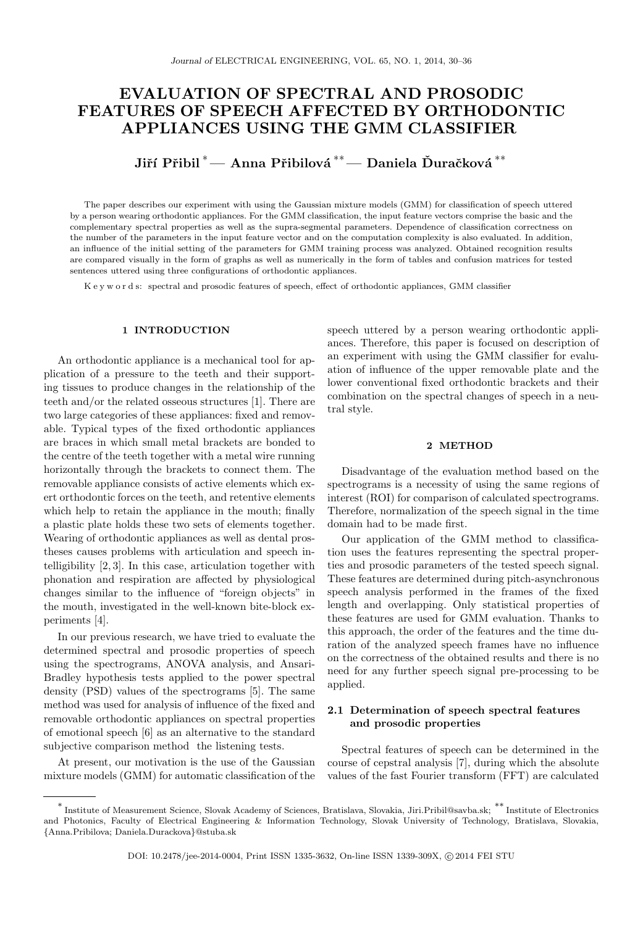# EVALUATION OF SPECTRAL AND PROSODIC FEATURES OF SPEECH AFFECTED BY ORTHODONTIC APPLIANCES USING THE GMM CLASSIFIER

Jiří Přibil $^*-$  Anna Přibilová  $^{**}-$  Daniela Ďuračková  $^{**}$ 

The paper describes our experiment with using the Gaussian mixture models (GMM) for classification of speech uttered by a person wearing orthodontic appliances. For the GMM classification, the input feature vectors comprise the basic and the complementary spectral properties as well as the supra-segmental parameters. Dependence of classification correctness on the number of the parameters in the input feature vector and on the computation complexity is also evaluated. In addition, an influence of the initial setting of the parameters for GMM training process was analyzed. Obtained recognition results are compared visually in the form of graphs as well as numerically in the form of tables and confusion matrices for tested sentences uttered using three configurations of orthodontic appliances.

K e y w o r d s: spectral and prosodic features of speech, effect of orthodontic appliances, GMM classifier

## 1 INTRODUCTION

An orthodontic appliance is a mechanical tool for application of a pressure to the teeth and their supporting tissues to produce changes in the relationship of the teeth and/or the related osseous structures [1]. There are two large categories of these appliances: fixed and removable. Typical types of the fixed orthodontic appliances are braces in which small metal brackets are bonded to the centre of the teeth together with a metal wire running horizontally through the brackets to connect them. The removable appliance consists of active elements which exert orthodontic forces on the teeth, and retentive elements which help to retain the appliance in the mouth; finally a plastic plate holds these two sets of elements together. Wearing of orthodontic appliances as well as dental prostheses causes problems with articulation and speech intelligibility [2, 3]. In this case, articulation together with phonation and respiration are affected by physiological changes similar to the influence of "foreign objects" in the mouth, investigated in the well-known bite-block experiments [4].

In our previous research, we have tried to evaluate the determined spectral and prosodic properties of speech using the spectrograms, ANOVA analysis, and Ansari-Bradley hypothesis tests applied to the power spectral density (PSD) values of the spectrograms [5]. The same method was used for analysis of influence of the fixed and removable orthodontic appliances on spectral properties of emotional speech [6] as an alternative to the standard subjective comparison method the listening tests.

At present, our motivation is the use of the Gaussian mixture models (GMM) for automatic classification of the speech uttered by a person wearing orthodontic appliances. Therefore, this paper is focused on description of an experiment with using the GMM classifier for evaluation of influence of the upper removable plate and the lower conventional fixed orthodontic brackets and their combination on the spectral changes of speech in a neutral style.

#### 2 METHOD

Disadvantage of the evaluation method based on the spectrograms is a necessity of using the same regions of interest (ROI) for comparison of calculated spectrograms. Therefore, normalization of the speech signal in the time domain had to be made first.

Our application of the GMM method to classification uses the features representing the spectral properties and prosodic parameters of the tested speech signal. These features are determined during pitch-asynchronous speech analysis performed in the frames of the fixed length and overlapping. Only statistical properties of these features are used for GMM evaluation. Thanks to this approach, the order of the features and the time duration of the analyzed speech frames have no influence on the correctness of the obtained results and there is no need for any further speech signal pre-processing to be applied.

## 2.1 Determination of speech spectral features and prosodic properties

Spectral features of speech can be determined in the course of cepstral analysis [7], during which the absolute values of the fast Fourier transform (FFT) are calculated

<sup>∗</sup> Institute of Measurement Science, Slovak Academy of Sciences, Bratislava, Slovakia, Jiri.Pribil@savba.sk; ∗∗ Institute of Electronics and Photonics, Faculty of Electrical Engineering & Information Technology, Slovak University of Technology, Bratislava, Slovakia, {Anna.Pribilova; Daniela.Durackova}@stuba.sk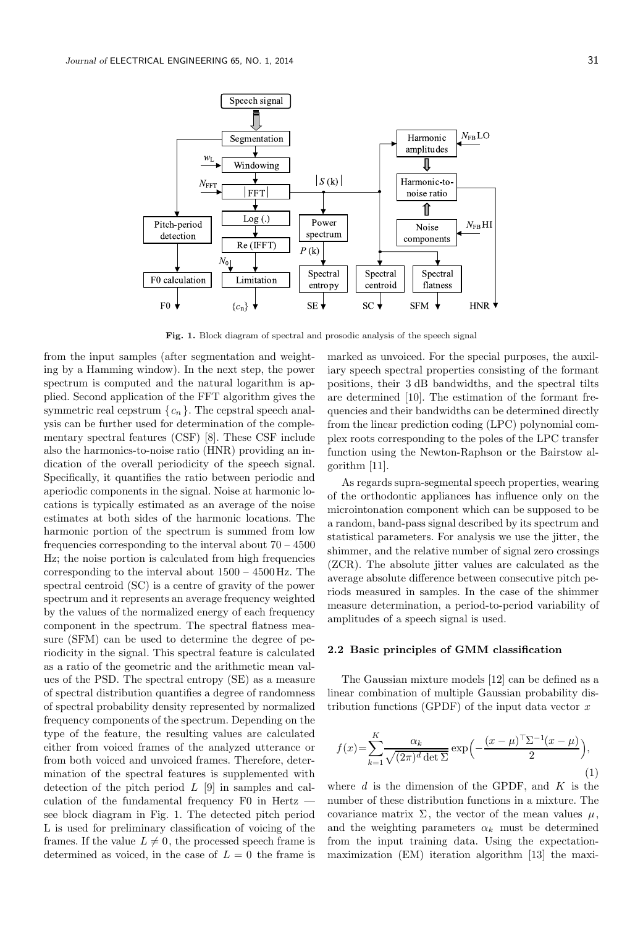

Fig. 1. Block diagram of spectral and prosodic analysis of the speech signal

from the input samples (after segmentation and weighting by a Hamming window). In the next step, the power spectrum is computed and the natural logarithm is applied. Second application of the FFT algorithm gives the symmetric real cepstrum  $\{c_n\}$ . The cepstral speech analysis can be further used for determination of the complementary spectral features (CSF) [8]. These CSF include also the harmonics-to-noise ratio (HNR) providing an indication of the overall periodicity of the speech signal. Specifically, it quantifies the ratio between periodic and aperiodic components in the signal. Noise at harmonic locations is typically estimated as an average of the noise estimates at both sides of the harmonic locations. The harmonic portion of the spectrum is summed from low frequencies corresponding to the interval about  $70 - 4500$ Hz; the noise portion is calculated from high frequencies corresponding to the interval about 1500 – 4500 Hz. The spectral centroid (SC) is a centre of gravity of the power spectrum and it represents an average frequency weighted by the values of the normalized energy of each frequency component in the spectrum. The spectral flatness measure (SFM) can be used to determine the degree of periodicity in the signal. This spectral feature is calculated as a ratio of the geometric and the arithmetic mean values of the PSD. The spectral entropy (SE) as a measure of spectral distribution quantifies a degree of randomness of spectral probability density represented by normalized frequency components of the spectrum. Depending on the type of the feature, the resulting values are calculated either from voiced frames of the analyzed utterance or from both voiced and unvoiced frames. Therefore, determination of the spectral features is supplemented with detection of the pitch period  $L$  [9] in samples and calculation of the fundamental frequency F0 in Hertz see block diagram in Fig. 1. The detected pitch period L is used for preliminary classification of voicing of the frames. If the value  $L \neq 0$ , the processed speech frame is determined as voiced, in the case of  $L = 0$  the frame is marked as unvoiced. For the special purposes, the auxiliary speech spectral properties consisting of the formant positions, their 3 dB bandwidths, and the spectral tilts are determined [10]. The estimation of the formant frequencies and their bandwidths can be determined directly from the linear prediction coding (LPC) polynomial complex roots corresponding to the poles of the LPC transfer function using the Newton-Raphson or the Bairstow algorithm [11].

As regards supra-segmental speech properties, wearing of the orthodontic appliances has influence only on the microintonation component which can be supposed to be a random, band-pass signal described by its spectrum and statistical parameters. For analysis we use the jitter, the shimmer, and the relative number of signal zero crossings (ZCR). The absolute jitter values are calculated as the average absolute difference between consecutive pitch periods measured in samples. In the case of the shimmer measure determination, a period-to-period variability of amplitudes of a speech signal is used.

## 2.2 Basic principles of GMM classification

The Gaussian mixture models [12] can be defined as a linear combination of multiple Gaussian probability distribution functions (GPDF) of the input data vector  $x$ 

$$
f(x) = \sum_{k=1}^{K} \frac{\alpha_k}{\sqrt{(2\pi)^d \det \Sigma}} \exp\left(-\frac{(x-\mu)^{\top} \Sigma^{-1} (x-\mu)}{2}\right),\tag{1}
$$

where  $d$  is the dimension of the GPDF, and  $K$  is the number of these distribution functions in a mixture. The covariance matrix  $\Sigma$ , the vector of the mean values  $\mu$ , and the weighting parameters  $\alpha_k$  must be determined from the input training data. Using the expectationmaximization (EM) iteration algorithm [13] the maxi-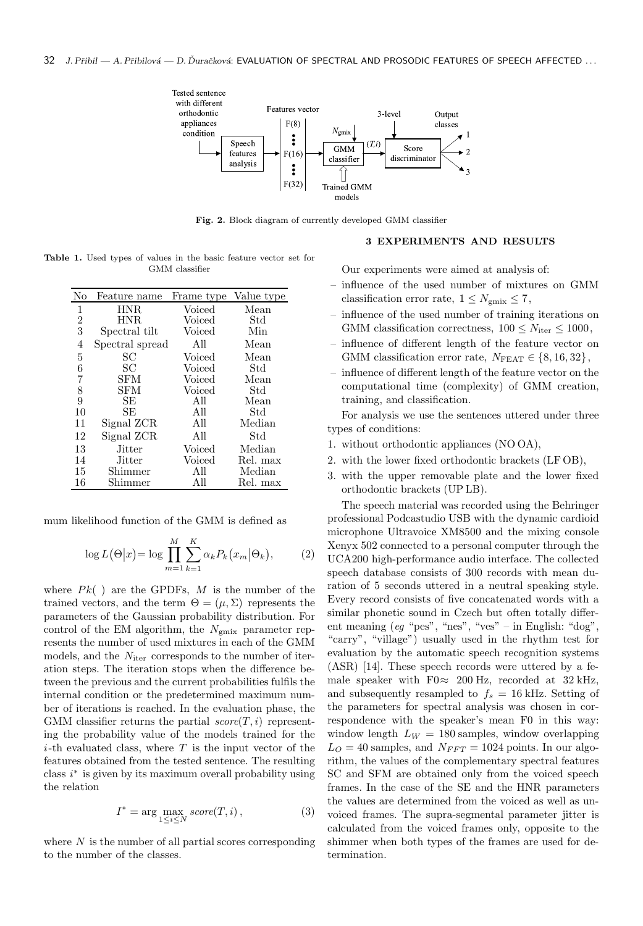

Fig. 2. Block diagram of currently developed GMM classifier

Table 1. Used types of values in the basic feature vector set for GMM classifier

| No             | Feature name    | Frame type | Value type |
|----------------|-----------------|------------|------------|
| 1              | <b>HNR</b>      | Voiced     | Mean       |
| 2              | HNR.            | Voiced     | Std        |
| 3              | Spectral tilt   | Voiced     | Min        |
| $\overline{4}$ | Spectral spread | All        | Mean       |
| 5              | SС              | Voiced     | Mean       |
| 6              | SС              | Voiced     | Std        |
| 7              | SFM             | Voiced     | Mean       |
| 8              | SFM             | Voiced     | Std        |
| 9              | <b>SE</b>       | All        | Mean       |
| 10             | SE              | All        | Std        |
| 11             | Signal ZCR      | All        | Median     |
| 12             | Signal ZCR      | All        | Std        |
| 13             | Jitter          | Voiced     | Median     |
| 14             | Jitter          | Voiced     | Rel. max   |
| 15             | Shimmer         | All        | Median     |
| 16             | Shimmer         | All        | Rel. max   |

mum likelihood function of the GMM is defined as

$$
\log L(\Theta|x) = \log \prod_{m=1}^{M} \sum_{k=1}^{K} \alpha_k P_k(x_m | \Theta_k), \tag{2}
$$

where  $Pk()$  are the GPDFs, M is the number of the trained vectors, and the term  $\Theta = (\mu, \Sigma)$  represents the parameters of the Gaussian probability distribution. For control of the EM algorithm, the  $\sqrt{N_{\rm{gmix}}}$  parameter represents the number of used mixtures in each of the GMM models, and the  $N_{\text{iter}}$  corresponds to the number of iteration steps. The iteration stops when the difference between the previous and the current probabilities fulfils the internal condition or the predetermined maximum number of iterations is reached. In the evaluation phase, the GMM classifier returns the partial  $score(T, i)$  representing the probability value of the models trained for the  $i$ -th evaluated class, where  $T$  is the input vector of the features obtained from the tested sentence. The resulting class  $i^*$  is given by its maximum overall probability using the relation

$$
I^* = \arg\max_{1 \le i \le N} score(T, i), \qquad (3)
$$

where  $N$  is the number of all partial scores corresponding to the number of the classes.

## 3 EXPERIMENTS AND RESULTS

Our experiments were aimed at analysis of:

- influence of the used number of mixtures on GMM classification error rate,  $1 \leq N_{\text{gmix}} \leq 7$ ,
- influence of the used number of training iterations on GMM classification correctness,  $100 \le N_{\text{iter}} \le 1000$ ,
- influence of different length of the feature vector on GMM classification error rate,  $N_{\text{FFAT}} \in \{8, 16, 32\},\$
- influence of different length of the feature vector on the computational time (complexity) of GMM creation, training, and classification.

For analysis we use the sentences uttered under three types of conditions:

- 1. without orthodontic appliances (NO OA),
- 2. with the lower fixed orthodontic brackets (LF OB),
- 3. with the upper removable plate and the lower fixed orthodontic brackets (UP LB).

The speech material was recorded using the Behringer professional Podcastudio USB with the dynamic cardioid microphone Ultravoice XM8500 and the mixing console Xenyx 502 connected to a personal computer through the UCA200 high-performance audio interface. The collected speech database consists of 300 records with mean duration of 5 seconds uttered in a neutral speaking style. Every record consists of five concatenated words with a similar phonetic sound in Czech but often totally different meaning (eg "pes", "nes", "ves" – in English: "dog", "carry", "village") usually used in the rhythm test for evaluation by the automatic speech recognition systems (ASR) [14]. These speech records were uttered by a female speaker with F0≈ 200 Hz, recorded at 32 kHz, and subsequently resampled to  $f_s = 16$  kHz. Setting of the parameters for spectral analysis was chosen in correspondence with the speaker's mean F0 in this way: window length  $L_W = 180$  samples, window overlapping  $L_O = 40$  samples, and  $N_{FFT} = 1024$  points. In our algorithm, the values of the complementary spectral features SC and SFM are obtained only from the voiced speech frames. In the case of the SE and the HNR parameters the values are determined from the voiced as well as unvoiced frames. The supra-segmental parameter jitter is calculated from the voiced frames only, opposite to the shimmer when both types of the frames are used for determination.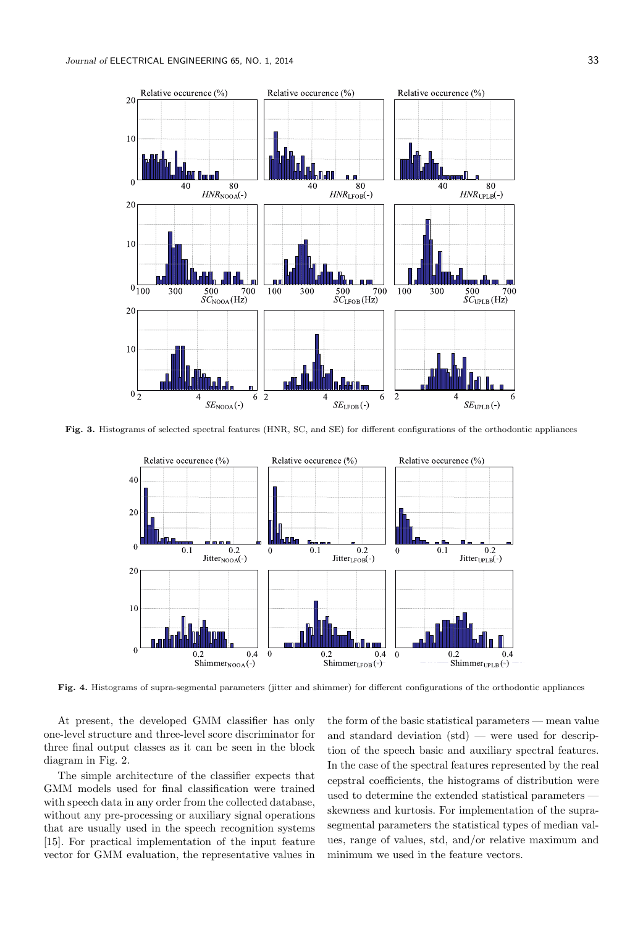

Fig. 3. Histograms of selected spectral features (HNR, SC, and SE) for different configurations of the orthodontic appliances



Fig. 4. Histograms of supra-segmental parameters (jitter and shimmer) for different configurations of the orthodontic appliances

At present, the developed GMM classifier has only one-level structure and three-level score discriminator for three final output classes as it can be seen in the block diagram in Fig. 2.

The simple architecture of the classifier expects that GMM models used for final classification were trained with speech data in any order from the collected database, without any pre-processing or auxiliary signal operations that are usually used in the speech recognition systems [15]. For practical implementation of the input feature vector for GMM evaluation, the representative values in

the form of the basic statistical parameters — mean value and standard deviation  $(std)$  — were used for description of the speech basic and auxiliary spectral features. In the case of the spectral features represented by the real cepstral coefficients, the histograms of distribution were used to determine the extended statistical parameters skewness and kurtosis. For implementation of the suprasegmental parameters the statistical types of median values, range of values, std, and/or relative maximum and minimum we used in the feature vectors.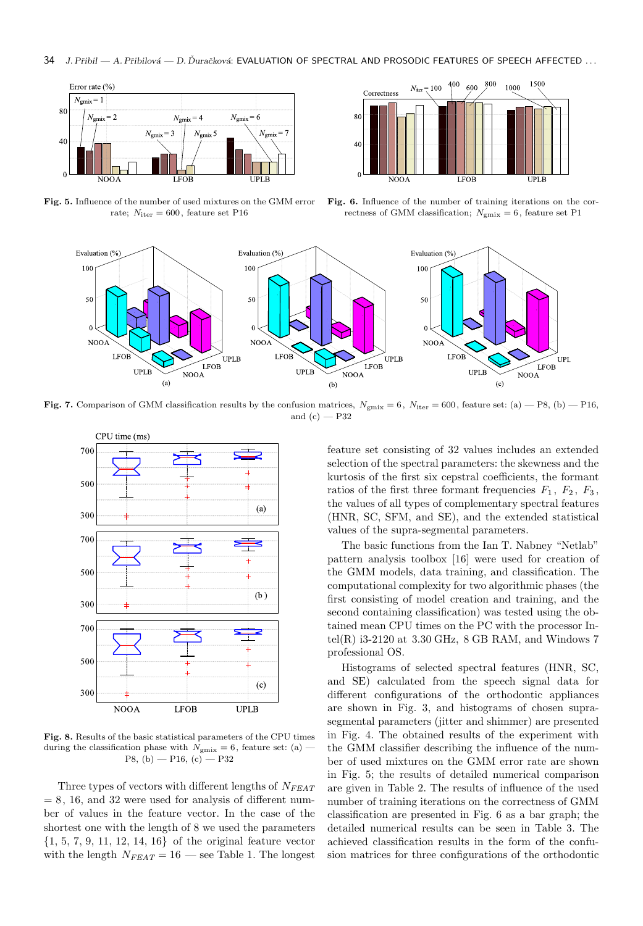

Fig. 5. Influence of the number of used mixtures on the GMM error rate;  $N_{\text{iter}} = 600$ , feature set P16



Fig. 6. Influence of the number of training iterations on the correctness of GMM classification;  $N_{\text{emix}} = 6$ , feature set P1



Fig. 7. Comparison of GMM classification results by the confusion matrices,  $N_{\text{gmix}} = 6$ ,  $N_{\text{iter}} = 600$ , feature set: (a) - P8, (b) - P16, and  $(c)$  — P32



Fig. 8. Results of the basic statistical parameters of the CPU times during the classification phase with  $N_{\text{gmix}} = 6$ , feature set: (a) –  $P8, (b) - P16, (c) - P32$ 

Three types of vectors with different lengths of  $N_{FEAT}$  $= 8, 16,$  and 32 were used for analysis of different number of values in the feature vector. In the case of the shortest one with the length of 8 we used the parameters {1, 5, 7, 9, 11, 12, 14, 16} of the original feature vector with the length  $N_{FEAT} = 16$  — see Table 1. The longest

feature set consisting of 32 values includes an extended selection of the spectral parameters: the skewness and the kurtosis of the first six cepstral coefficients, the formant ratios of the first three formant frequencies  $F_1, F_2, F_3,$ the values of all types of complementary spectral features (HNR, SC, SFM, and SE), and the extended statistical values of the supra-segmental parameters.

The basic functions from the Ian T. Nabney "Netlab" pattern analysis toolbox [16] were used for creation of the GMM models, data training, and classification. The computational complexity for two algorithmic phases (the first consisting of model creation and training, and the second containing classification) was tested using the obtained mean CPU times on the PC with the processor Intel(R) i3-2120 at  $3.30$  GHz,  $8$  GB RAM, and Windows 7 professional OS.

Histograms of selected spectral features (HNR, SC, and SE) calculated from the speech signal data for different configurations of the orthodontic appliances are shown in Fig. 3, and histograms of chosen suprasegmental parameters (jitter and shimmer) are presented in Fig. 4. The obtained results of the experiment with the GMM classifier describing the influence of the number of used mixtures on the GMM error rate are shown in Fig. 5; the results of detailed numerical comparison are given in Table 2. The results of influence of the used number of training iterations on the correctness of GMM classification are presented in Fig. 6 as a bar graph; the detailed numerical results can be seen in Table 3. The achieved classification results in the form of the confusion matrices for three configurations of the orthodontic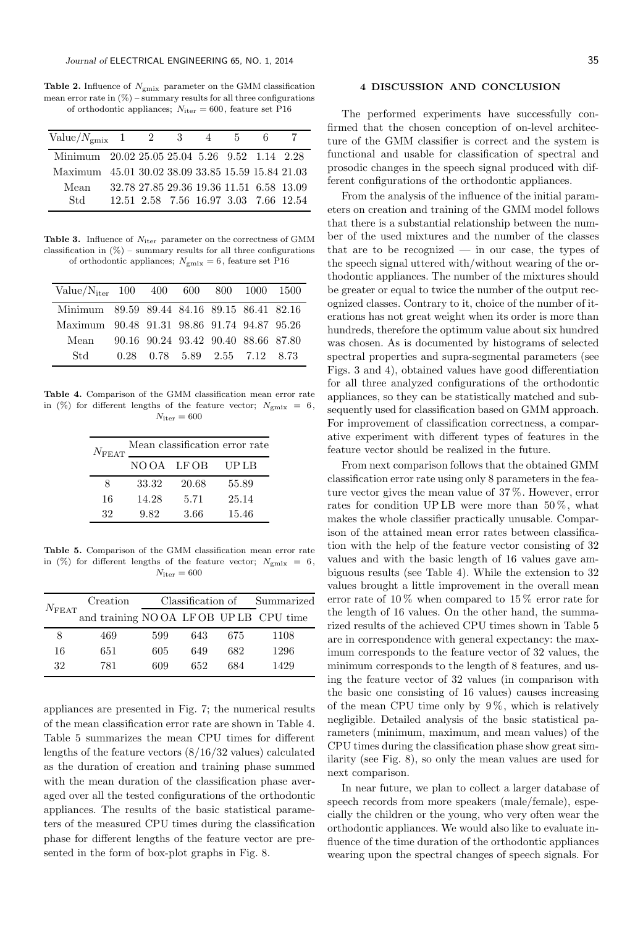**Table 2.** Influence of  $N_{\text{gmix}}$  parameter on the GMM classification mean error rate in  $(\%)$  – summary results for all three configurations of orthodontic appliances;  $N_{\text{iter}} = 600$ , feature set P16

| $Value/Nemix$ 1 2 3 4 5                           |                                          |  |                                       | 6. |  |
|---------------------------------------------------|------------------------------------------|--|---------------------------------------|----|--|
| Minimum 20.02 25.05 25.04 5.26 9.52 1.14 2.28     |                                          |  |                                       |    |  |
| Maximum 45.01 30.02 38.09 33.85 15.59 15.84 21.03 |                                          |  |                                       |    |  |
| Mean                                              | 32.78 27.85 29.36 19.36 11.51 6.58 13.09 |  |                                       |    |  |
| Std                                               |                                          |  | 12.51 2.58 7.56 16.97 3.03 7.66 12.54 |    |  |

**Table 3.** Influence of  $N_{\text{iter}}$  parameter on the correctness of GMM classification in  $(\%)$  – summary results for all three configurations of orthodontic appliances;  $N_{\text{gmix}} = 6$ , feature set P16

| Value/ $N_{iter}$ 100 400 600 800 1000 1500 |      |                                     |  |                              |  |
|---------------------------------------------|------|-------------------------------------|--|------------------------------|--|
| Minimum 89.59 89.44 84.16 89.15 86.41 82.16 |      |                                     |  |                              |  |
| Maximum 90.48 91.31 98.86 91.74 94.87 95.26 |      |                                     |  |                              |  |
| Mean                                        |      | 90.16 90.24 93.42 90.40 88.66 87.80 |  |                              |  |
| Std                                         | 0.28 |                                     |  | $0.78$ 5.89 $2.55$ 7.12 8.73 |  |

Table 4. Comparison of the GMM classification mean error rate in (%) for different lengths of the feature vector;  $N_{\text{gmix}} = 6$ ,  $N_{\text{iter}} = 600$ 

| $N_{\rm FEAT}$ | Mean classification error rate |       |             |  |  |  |
|----------------|--------------------------------|-------|-------------|--|--|--|
|                | NOOA LFOB                      |       | <b>UPLB</b> |  |  |  |
| ×              | 33.32                          | 20.68 | 55.89       |  |  |  |
| 16             | 14.28                          | 5.71  | 25.14       |  |  |  |
| 32             | 9.82                           | 3.66  | 15.46       |  |  |  |

Table 5. Comparison of the GMM classification mean error rate in (%) for different lengths of the feature vector;  $N_{\text{emix}} = 6$ ,  $N_{\text{iter}} = 600$ 

| $N_{\rm FEAT}$ | Creation                             | Classification of Summarized |     |     |      |
|----------------|--------------------------------------|------------------------------|-----|-----|------|
|                | and training NOOA LFOB UPLB CPU time |                              |     |     |      |
| 8              | 469                                  | 599                          | 643 | 675 | 1108 |
| 16             | 651                                  | 605                          | 649 | 682 | 1296 |
| 32             | 781                                  | 609                          | 652 | 684 | 1429 |

appliances are presented in Fig. 7; the numerical results of the mean classification error rate are shown in Table 4. Table 5 summarizes the mean CPU times for different lengths of the feature vectors (8/16/32 values) calculated as the duration of creation and training phase summed with the mean duration of the classification phase averaged over all the tested configurations of the orthodontic appliances. The results of the basic statistical parameters of the measured CPU times during the classification phase for different lengths of the feature vector are presented in the form of box-plot graphs in Fig. 8.

#### 4 DISCUSSION AND CONCLUSION

The performed experiments have successfully confirmed that the chosen conception of on-level architecture of the GMM classifier is correct and the system is functional and usable for classification of spectral and prosodic changes in the speech signal produced with different configurations of the orthodontic appliances.

From the analysis of the influence of the initial parameters on creation and training of the GMM model follows that there is a substantial relationship between the number of the used mixtures and the number of the classes that are to be recognized  $-$  in our case, the types of the speech signal uttered with/without wearing of the orthodontic appliances. The number of the mixtures should be greater or equal to twice the number of the output recognized classes. Contrary to it, choice of the number of iterations has not great weight when its order is more than hundreds, therefore the optimum value about six hundred was chosen. As is documented by histograms of selected spectral properties and supra-segmental parameters (see Figs. 3 and 4), obtained values have good differentiation for all three analyzed configurations of the orthodontic appliances, so they can be statistically matched and subsequently used for classification based on GMM approach. For improvement of classification correctness, a comparative experiment with different types of features in the feature vector should be realized in the future.

From next comparison follows that the obtained GMM classification error rate using only 8 parameters in the feature vector gives the mean value of 37 %. However, error rates for condition UP LB were more than  $50\%$ , what makes the whole classifier practically unusable. Comparison of the attained mean error rates between classification with the help of the feature vector consisting of 32 values and with the basic length of 16 values gave ambiguous results (see Table 4). While the extension to 32 values brought a little improvement in the overall mean error rate of  $10\%$  when compared to  $15\%$  error rate for the length of 16 values. On the other hand, the summarized results of the achieved CPU times shown in Table 5 are in correspondence with general expectancy: the maximum corresponds to the feature vector of 32 values, the minimum corresponds to the length of 8 features, and using the feature vector of 32 values (in comparison with the basic one consisting of 16 values) causes increasing of the mean CPU time only by  $9\%$ , which is relatively negligible. Detailed analysis of the basic statistical parameters (minimum, maximum, and mean values) of the CPU times during the classification phase show great similarity (see Fig. 8), so only the mean values are used for next comparison.

In near future, we plan to collect a larger database of speech records from more speakers (male/female), especially the children or the young, who very often wear the orthodontic appliances. We would also like to evaluate influence of the time duration of the orthodontic appliances wearing upon the spectral changes of speech signals. For